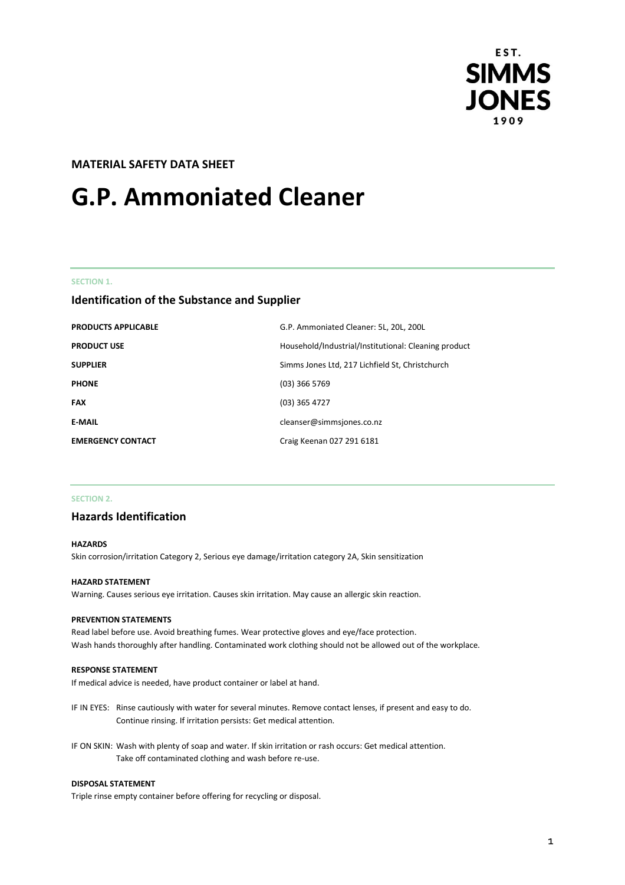

# **MATERIAL SAFETY DATA SHEET**

# **G.P. Ammoniated Cleaner**

#### **SECTION 1.**

# **Identification of the Substance and Supplier**

| <b>PRODUCTS APPLICABLE</b> | G.P. Ammoniated Cleaner: 5L, 20L, 200L               |
|----------------------------|------------------------------------------------------|
| <b>PRODUCT USE</b>         | Household/Industrial/Institutional: Cleaning product |
| <b>SUPPLIER</b>            | Simms Jones Ltd, 217 Lichfield St, Christchurch      |
| <b>PHONE</b>               | $(03)$ 366 5769                                      |
| <b>FAX</b>                 | (03) 365 4727                                        |
| <b>E-MAIL</b>              | cleanser@simmsjones.co.nz                            |
| <b>EMERGENCY CONTACT</b>   | Craig Keenan 027 291 6181                            |

## **SECTION 2.**

## **Hazards Identification**

#### **HAZARDS**

Skin corrosion/irritation Category 2, Serious eye damage/irritation category 2A, Skin sensitization

#### **HAZARD STATEMENT**

Warning. Causes serious eye irritation. Causes skin irritation. May cause an allergic skin reaction.

#### **PREVENTION STATEMENTS**

Read label before use. Avoid breathing fumes. Wear protective gloves and eye/face protection. Wash hands thoroughly after handling. Contaminated work clothing should not be allowed out of the workplace.

#### **RESPONSE STATEMENT**

If medical advice is needed, have product container or label at hand.

- IF IN EYES: Rinse cautiously with water for several minutes. Remove contact lenses, if present and easy to do. Continue rinsing. If irritation persists: Get medical attention.
- IF ON SKIN: Wash with plenty of soap and water. If skin irritation or rash occurs: Get medical attention. Take off contaminated clothing and wash before re-use.

#### **DISPOSAL STATEMENT**

Triple rinse empty container before offering for recycling or disposal.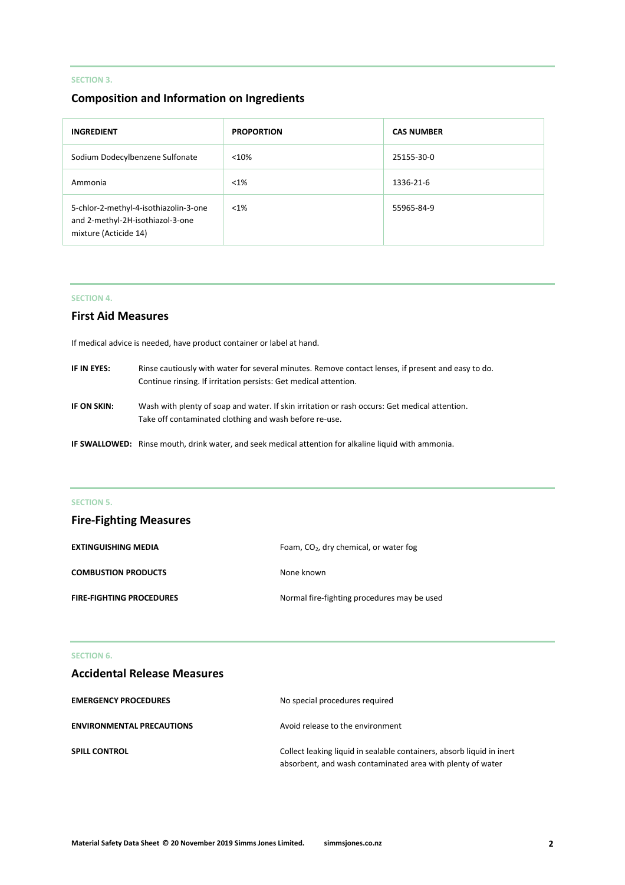# **SECTION 3.**

# **Composition and Information on Ingredients**

| <b>INGREDIENT</b>                                                                                  | <b>PROPORTION</b> | <b>CAS NUMBER</b> |
|----------------------------------------------------------------------------------------------------|-------------------|-------------------|
| Sodium Dodecylbenzene Sulfonate                                                                    | < 10%             | 25155-30-0        |
| Ammonia                                                                                            | $< 1\%$           | 1336-21-6         |
| 5-chlor-2-methyl-4-isothiazolin-3-one<br>and 2-methyl-2H-isothiazol-3-one<br>mixture (Acticide 14) | $< 1\%$           | 55965-84-9        |

## **SECTION 4.**

# **First Aid Measures**

If medical advice is needed, have product container or label at hand.

| IF IN EYES: | Rinse cautiously with water for several minutes. Remove contact lenses, if present and easy to do.<br>Continue rinsing. If irritation persists: Get medical attention. |
|-------------|------------------------------------------------------------------------------------------------------------------------------------------------------------------------|
| IF ON SKIN: | Wash with plenty of soap and water. If skin irritation or rash occurs: Get medical attention.<br>Take off contaminated clothing and wash before re-use.                |
|             | IF SWALLOWED: Rinse mouth, drink water, and seek medical attention for alkaline liquid with ammonia.                                                                   |

# **SECTION 5.**

| <b>Fire-Fighting Measures</b>   |                                             |
|---------------------------------|---------------------------------------------|
| <b>EXTINGUISHING MEDIA</b>      | Foam, $CO2$ , dry chemical, or water fog    |
| <b>COMBUSTION PRODUCTS</b>      | None known                                  |
| <b>FIRE-FIGHTING PROCEDURES</b> | Normal fire-fighting procedures may be used |

# **SECTION 6.**

# **Accidental Release Measures**

| <b>EMERGENCY PROCEDURES</b>      | No special procedures required                                                                                                      |
|----------------------------------|-------------------------------------------------------------------------------------------------------------------------------------|
| <b>ENVIRONMENTAL PRECAUTIONS</b> | Avoid release to the environment                                                                                                    |
| <b>SPILL CONTROL</b>             | Collect leaking liquid in sealable containers, absorb liquid in inert<br>absorbent, and wash contaminated area with plenty of water |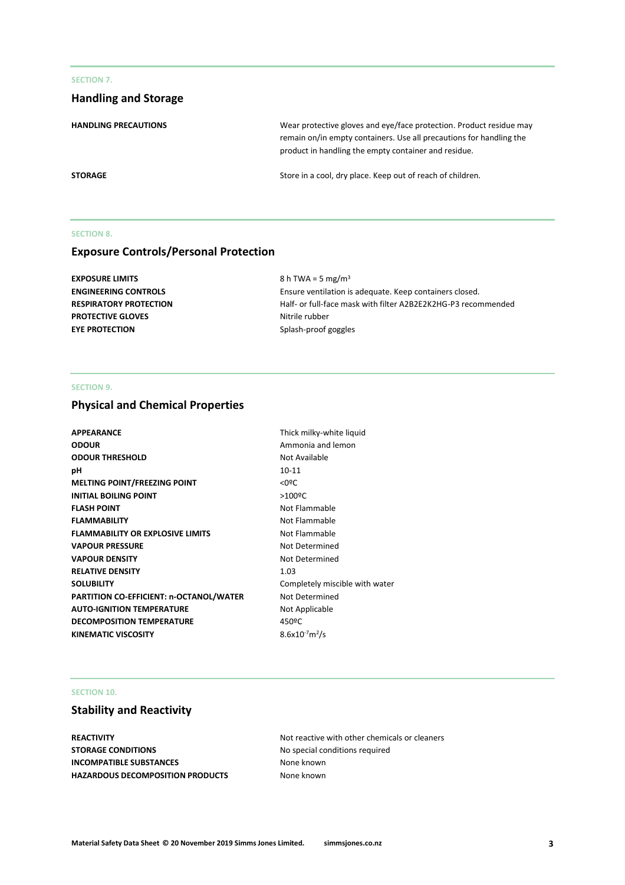## **SECTION 7.**

# **Handling and Storage**

**HANDLING PRECAUTIONS** Wear protective gloves and eye/face protection. Product residue may remain on/in empty containers. Use all precautions for handling the product in handling the empty container and residue. **STORAGE** STORAGE STORAGE STORAGE SERVICE 2012 Store in a cool, dry place. Keep out of reach of children.

## **SECTION 8.**

# **Exposure Controls/Personal Protection**

| EXPOSURE LIMITS               | 8 h TWA = 5 mg/m <sup>3</sup>                                 |
|-------------------------------|---------------------------------------------------------------|
| <b>ENGINEERING CONTROLS</b>   | Ensure ventilation is adequate. Keep containers closed.       |
| <b>RESPIRATORY PROTECTION</b> | Half- or full-face mask with filter A2B2E2K2HG-P3 recommended |
| <b>PROTECTIVE GLOVES</b>      | Nitrile rubber                                                |
| <b>EYE PROTECTION</b>         | Splash-proof goggles                                          |
|                               |                                                               |

## **SECTION 9.**

# **Physical and Chemical Properties**

| <b>APPEARANCE</b>                       | Thick milky-white liquid       |
|-----------------------------------------|--------------------------------|
| <b>ODOUR</b>                            | Ammonia and lemon              |
| <b>ODOUR THRESHOLD</b>                  | Not Available                  |
| рH                                      | $10 - 11$                      |
| <b>MELTING POINT/FREEZING POINT</b>     | $<$ 0ºC                        |
| <b>INITIAL BOILING POINT</b>            | $>100$ <sup>o</sup> C          |
| <b>FLASH POINT</b>                      | Not Flammable                  |
| <b>FLAMMABILITY</b>                     | Not Flammable                  |
| <b>FLAMMABILITY OR EXPLOSIVE LIMITS</b> | Not Flammable                  |
| <b>VAPOUR PRESSURE</b>                  | Not Determined                 |
| <b>VAPOUR DENSITY</b>                   | Not Determined                 |
| <b>RELATIVE DENSITY</b>                 | 1.03                           |
| <b>SOLUBILITY</b>                       | Completely miscible with water |
| PARTITION CO-EFFICIENT: n-OCTANOL/WATER | Not Determined                 |
| <b>AUTO-IGNITION TEMPERATURE</b>        | Not Applicable                 |
| <b>DECOMPOSITION TEMPERATURE</b>        | 450°C                          |
| <b>KINEMATIC VISCOSITY</b>              | $8.6x10^{-7}m^2/s$             |
|                                         |                                |

## **SECTION 10.**

# **Stability and Reactivity**

**REACTIVITY REACTIVITY Not reactive with other chemicals or cleaners STORAGE CONDITIONS** No special conditions required **INCOMPATIBLE SUBSTANCES** None known **HAZARDOUS DECOMPOSITION PRODUCTS** None known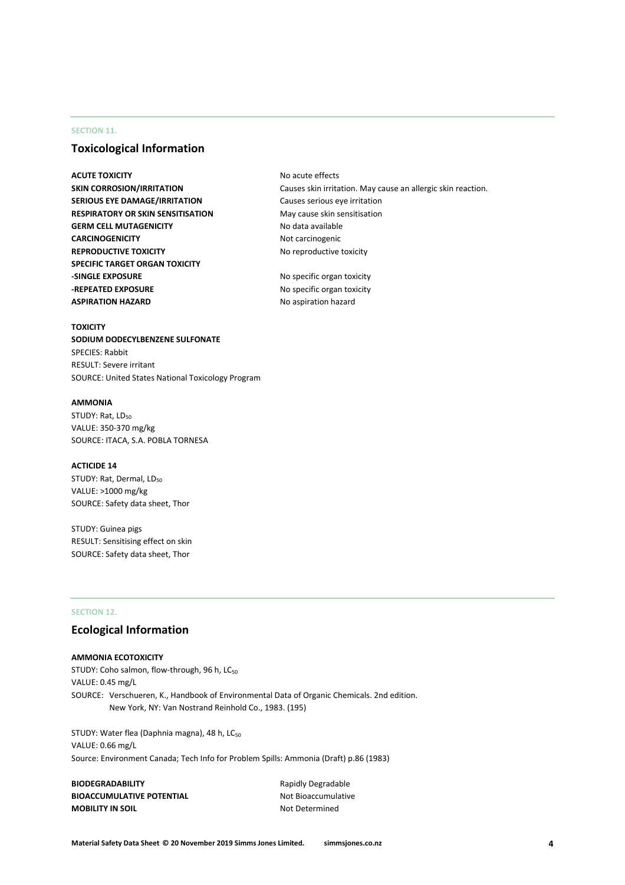## **SECTION 11.**

# **Toxicological Information**

**ACUTE TOXICITY** and **ACUTE TOXICITY** and **ACUTE TOXICITY** and **ACUTE TOXICITY** and **ACUTE TOXICITY** and **ACUTE TOXICITY** and **ACUTE TOXICITY** and **ACUTE TOXICITY** and **ACUTE TOXICITY** and **ACUTE TOXICITY** and **ACUTE TOXIC SERIOUS EYE DAMAGE/IRRITATION** Causes serious eye irritation **RESPIRATORY OR SKIN SENSITISATION** May cause skin sensitisation **GERM CELL MUTAGENICITY** No data available **CARCINOGENICITY** Not carcinogenic **REPRODUCTIVE TOXICITY** No reproductive toxicity **SPECIFIC TARGET ORGAN TOXICITY -SINGLE EXPOSURE** No specific organ toxicity **-REPEATED EXPOSURE** No specific organ toxicity **ASPIRATION HAZARD** No aspiration hazard

**SKIN CORROSION/IRRITATION** Causes skin irritation. May cause an allergic skin reaction.

#### **TOXICITY**

**SODIUM DODECYLBENZENE SULFONATE** SPECIES: Rabbit RESULT: Severe irritant SOURCE: United States National Toxicology Program

#### **AMMONIA**

STUDY: Rat, LD<sub>50</sub> VALUE: 350-370 mg/kg SOURCE: ITACA, S.A. POBLA TORNESA

#### **ACTICIDE 14**

STUDY: Rat, Dermal, LD<sub>50</sub> VALUE: >1000 mg/kg SOURCE: Safety data sheet, Thor

STUDY: Guinea pigs RESULT: Sensitising effect on skin SOURCE: Safety data sheet, Thor

## **SECTION 12.**

## **Ecological Information**

#### **AMMONIA ECOTOXICITY**

STUDY: Coho salmon, flow-through, 96 h, LC<sub>50</sub> VALUE: 0.45 mg/L SOURCE: Verschueren, K., Handbook of Environmental Data of Organic Chemicals. 2nd edition. New York, NY: Van Nostrand Reinhold Co., 1983. (195)

STUDY: Water flea (Daphnia magna), 48 h, LC<sub>50</sub> VALUE: 0.66 mg/L Source: Environment Canada; Tech Info for Problem Spills: Ammonia (Draft) p.86 (1983)

**BIODEGRADABILITY** Rapidly Degradable **BIOACCUMULATIVE POTENTIAL** Not Bioaccumulative **MOBILITY IN SOIL** Not Determined